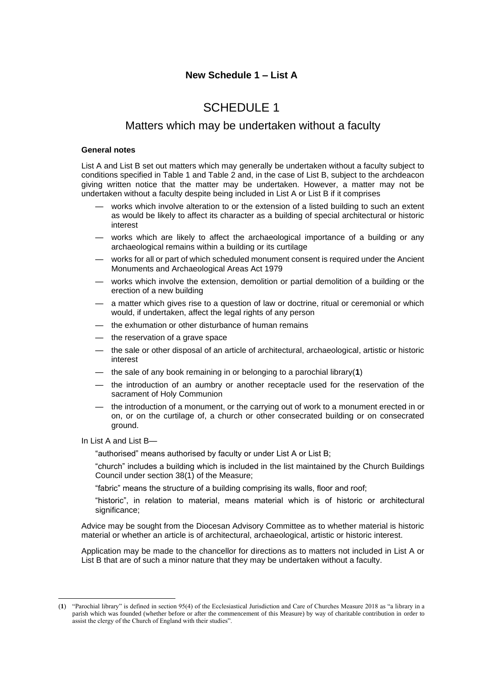# SCHEDULE 1

# Matters which may be undertaken without a faculty

### **General notes**

List A and List B set out matters which may generally be undertaken without a faculty subject to conditions specified in Table 1 and Table 2 and, in the case of List B, subject to the archdeacon giving written notice that the matter may be undertaken. However, a matter may not be undertaken without a faculty despite being included in List A or List B if it comprises

- works which involve alteration to or the extension of a listed building to such an extent as would be likely to affect its character as a building of special architectural or historic interest
- works which are likely to affect the archaeological importance of a building or any archaeological remains within a building or its curtilage
- works for all or part of which scheduled monument consent is required under the Ancient Monuments and Archaeological Areas Act 1979
- works which involve the extension, demolition or partial demolition of a building or the erection of a new building
- a matter which gives rise to a question of law or doctrine, ritual or ceremonial or which would, if undertaken, affect the legal rights of any person
- the exhumation or other disturbance of human remains
- the reservation of a grave space
- the sale or other disposal of an article of architectural, archaeological, artistic or historic interest
- the sale of any book remaining in or belonging to a parochial library(**1**)
- the introduction of an aumbry or another receptacle used for the reservation of the sacrament of Holy Communion
- the introduction of a monument, or the carrying out of work to a monument erected in or on, or on the curtilage of, a church or other consecrated building or on consecrated ground.

In List A and List B—

"authorised" means authorised by faculty or under List A or List B;

"church" includes a building which is included in the list maintained by the Church Buildings Council under section 38(1) of the Measure;

"fabric" means the structure of a building comprising its walls, floor and roof;

"historic", in relation to material, means material which is of historic or architectural significance;

Advice may be sought from the Diocesan Advisory Committee as to whether material is historic material or whether an article is of architectural, archaeological, artistic or historic interest.

Application may be made to the chancellor for directions as to matters not included in List A or List B that are of such a minor nature that they may be undertaken without a faculty.

<sup>(</sup>**1**) "Parochial library" is defined in section 95(4) of the Ecclesiastical Jurisdiction and Care of Churches Measure 2018 as "a library in a parish which was founded (whether before or after the commencement of this Measure) by way of charitable contribution in order to assist the clergy of the Church of England with their studies".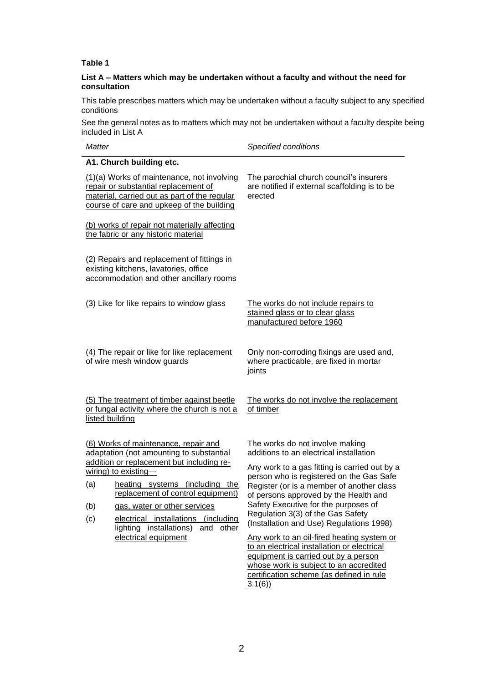# **Table 1**

### **List A – Matters which may be undertaken without a faculty and without the need for consultation**

This table prescribes matters which may be undertaken without a faculty subject to any specified conditions

See the general notes as to matters which may not be undertaken without a faculty despite being included in List A

| <b>Matter</b>                                                                                                                                                                   |                                                                                                                                                                                                                                                                                                                                                                          | Specified conditions                                                                                                                                                                                                                                                                                                                                                                                                                                                                                                                                                                                                        |
|---------------------------------------------------------------------------------------------------------------------------------------------------------------------------------|--------------------------------------------------------------------------------------------------------------------------------------------------------------------------------------------------------------------------------------------------------------------------------------------------------------------------------------------------------------------------|-----------------------------------------------------------------------------------------------------------------------------------------------------------------------------------------------------------------------------------------------------------------------------------------------------------------------------------------------------------------------------------------------------------------------------------------------------------------------------------------------------------------------------------------------------------------------------------------------------------------------------|
|                                                                                                                                                                                 | A1. Church building etc.                                                                                                                                                                                                                                                                                                                                                 |                                                                                                                                                                                                                                                                                                                                                                                                                                                                                                                                                                                                                             |
| (1)(a) Works of maintenance, not involving<br>repair or substantial replacement of<br>material, carried out as part of the regular<br>course of care and upkeep of the building |                                                                                                                                                                                                                                                                                                                                                                          | The parochial church council's insurers<br>are notified if external scaffolding is to be<br>erected                                                                                                                                                                                                                                                                                                                                                                                                                                                                                                                         |
| (b) works of repair not materially affecting<br>the fabric or any historic material                                                                                             |                                                                                                                                                                                                                                                                                                                                                                          |                                                                                                                                                                                                                                                                                                                                                                                                                                                                                                                                                                                                                             |
| (2) Repairs and replacement of fittings in<br>existing kitchens, lavatories, office<br>accommodation and other ancillary rooms                                                  |                                                                                                                                                                                                                                                                                                                                                                          |                                                                                                                                                                                                                                                                                                                                                                                                                                                                                                                                                                                                                             |
| (3) Like for like repairs to window glass                                                                                                                                       |                                                                                                                                                                                                                                                                                                                                                                          | The works do not include repairs to<br>stained glass or to clear glass<br>manufactured before 1960                                                                                                                                                                                                                                                                                                                                                                                                                                                                                                                          |
| (4) The repair or like for like replacement<br>of wire mesh window guards                                                                                                       |                                                                                                                                                                                                                                                                                                                                                                          | Only non-corroding fixings are used and,<br>where practicable, are fixed in mortar<br>joints                                                                                                                                                                                                                                                                                                                                                                                                                                                                                                                                |
| (5) The treatment of timber against beetle<br>or fungal activity where the church is not a<br>listed building                                                                   |                                                                                                                                                                                                                                                                                                                                                                          | The works do not involve the replacement<br>of timber                                                                                                                                                                                                                                                                                                                                                                                                                                                                                                                                                                       |
| (a)<br>(b)<br>(c)                                                                                                                                                               | (6) Works of maintenance, repair and<br>adaptation (not amounting to substantial<br>addition or replacement but including re-<br>$wiring)$ to existing-<br>heating systems (including the<br>replacement of control equipment)<br>gas, water or other services<br>electrical installations<br>(including<br>lighting installations)<br>and other<br>electrical equipment | The works do not involve making<br>additions to an electrical installation<br>Any work to a gas fitting is carried out by a<br>person who is registered on the Gas Safe<br>Register (or is a member of another class<br>of persons approved by the Health and<br>Safety Executive for the purposes of<br>Regulation 3(3) of the Gas Safety<br>(Installation and Use) Regulations 1998)<br>Any work to an oil-fired heating system or<br>to an electrical installation or electrical<br>equipment is carried out by a person<br>whose work is subject to an accredited<br>certification scheme (as defined in rule<br>3.1(6) |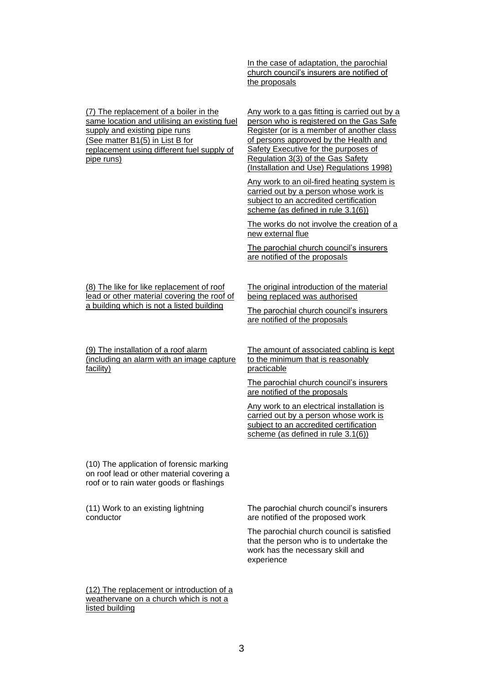In the case of adaptation, the parochial church council's insurers are notified of the proposals

(7) The replacement of a boiler in the same location and utilising an existing fuel supply and existing pipe runs (See matter B1(5) in List B for replacement using different fuel supply of pipe runs)

Any work to a gas fitting is carried out by a person who is registered on the Gas Safe Register (or is a member of another class of persons approved by the Health and Safety Executive for the purposes of Regulation 3(3) of the Gas Safety (Installation and Use) Regulations 1998)

Any work to an oil-fired heating system is carried out by a person whose work is subject to an accredited certification scheme (as defined in rule 3.1(6))

The works do not involve the creation of a new external flue

The parochial church council's insurers are notified of the proposals

(8) The like for like replacement of roof lead or other material covering the roof of a building which is not a listed building

(9) The installation of a roof alarm (including an alarm with an image capture facility)

The original introduction of the material being replaced was authorised

The parochial church council's insurers are notified of the proposals

The amount of associated cabling is kept to the minimum that is reasonably practicable

The parochial church council's insurers are notified of the proposals

Any work to an electrical installation is carried out by a person whose work is subject to an accredited certification scheme (as defined in rule 3.1(6))

(10) The application of forensic marking on roof lead or other material covering a roof or to rain water goods or flashings

(11) Work to an existing lightning conductor

The parochial church council's insurers are notified of the proposed work

The parochial church council is satisfied that the person who is to undertake the work has the necessary skill and experience

(12) The replacement or introduction of a weathervane on a church which is not a listed building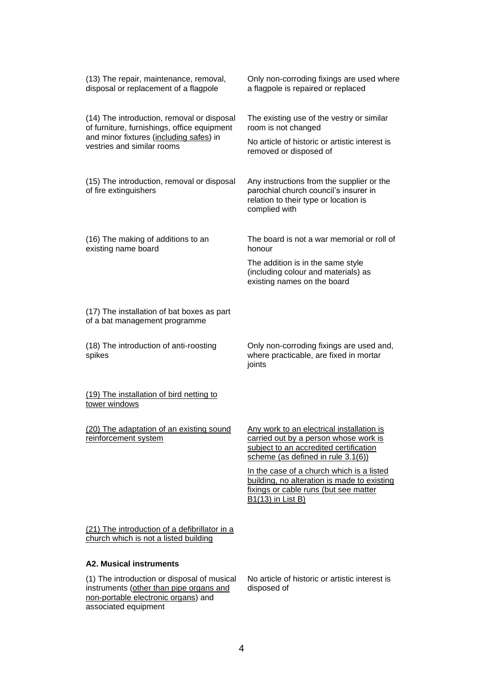| (13) The repair, maintenance, removal,<br>disposal or replacement of a flagpole                                                                                    | Only non-corroding fixings are used where<br>a flagpole is repaired or replaced                                                                                    |
|--------------------------------------------------------------------------------------------------------------------------------------------------------------------|--------------------------------------------------------------------------------------------------------------------------------------------------------------------|
| (14) The introduction, removal or disposal<br>of furniture, furnishings, office equipment<br>and minor fixtures (including safes) in<br>vestries and similar rooms | The existing use of the vestry or similar<br>room is not changed<br>No article of historic or artistic interest is                                                 |
| (15) The introduction, removal or disposal                                                                                                                         | removed or disposed of<br>Any instructions from the supplier or the                                                                                                |
| of fire extinguishers                                                                                                                                              | parochial church council's insurer in<br>relation to their type or location is<br>complied with                                                                    |
| (16) The making of additions to an<br>existing name board                                                                                                          | The board is not a war memorial or roll of<br>honour                                                                                                               |
|                                                                                                                                                                    | The addition is in the same style<br>(including colour and materials) as<br>existing names on the board                                                            |
| (17) The installation of bat boxes as part<br>of a bat management programme                                                                                        |                                                                                                                                                                    |
| (18) The introduction of anti-roosting<br>spikes                                                                                                                   | Only non-corroding fixings are used and,<br>where practicable, are fixed in mortar<br>joints                                                                       |
| (19) The installation of bird netting to<br>tower windows                                                                                                          |                                                                                                                                                                    |
| (20) The adaptation of an existing sound<br>reinforcement system                                                                                                   | Any work to an electrical installation is<br>carried out by a person whose work is<br>subject to an accredited certification<br>scheme (as defined in rule 3.1(6)) |
|                                                                                                                                                                    | In the case of a church which is a listed<br>building, no alteration is made to existing<br>fixings or cable runs (but see matter<br><b>B1(13)</b> in List B)      |
| (21) The introduction of a defibrillator in a<br>church which is not a listed building                                                                             |                                                                                                                                                                    |
| <b>A2. Musical instruments</b>                                                                                                                                     |                                                                                                                                                                    |
| (1) The introduction or disposal of musical<br>instruments (other than pipe organs and                                                                             | No article of historic or artistic interest is<br>disposed of                                                                                                      |

4

instruments (other than pipe organs and non-portable electronic organs) and

associated equipment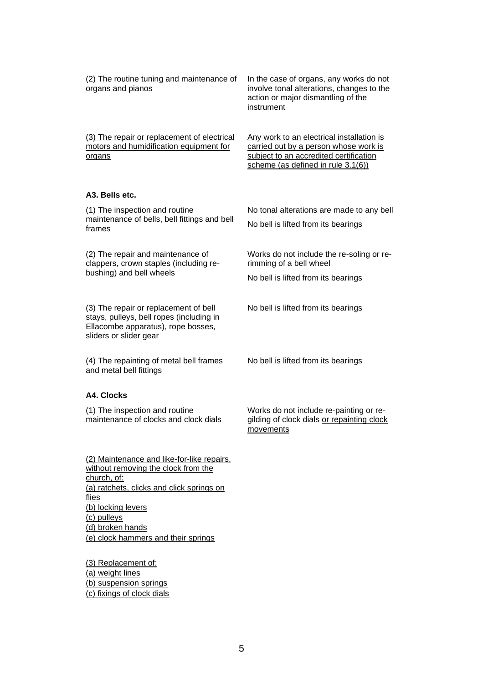(2) The routine tuning and maintenance of organs and pianos In the case of organs, any works do not involve tonal alterations, changes to the action or major dismantling of the instrument (3) The repair or replacement of electrical motors and humidification equipment for organs Any work to an electrical installation is carried out by a person whose work is subject to an accredited certification scheme (as defined in rule 3.1(6)) **A3. Bells etc.** (1) The inspection and routine maintenance of bells, bell fittings and bell frames No tonal alterations are made to any bell No bell is lifted from its bearings (2) The repair and maintenance of clappers, crown staples (including rebushing) and bell wheels Works do not include the re-soling or rerimming of a bell wheel No bell is lifted from its bearings (3) The repair or replacement of bell stays, pulleys, bell ropes (including in Ellacombe apparatus), rope bosses, sliders or slider gear No bell is lifted from its bearings (4) The repainting of metal bell frames and metal bell fittings No bell is lifted from its bearings **A4. Clocks** (1) The inspection and routine maintenance of clocks and clock dials Works do not include re-painting or regilding of clock dials or repainting clock movements

(a) ratchets, clicks and click springs on flies (b) locking levers (c) pulleys (d) broken hands (e) clock hammers and their springs

(2) Maintenance and like-for-like repairs, without removing the clock from the

(3) Replacement of: (a) weight lines (b) suspension springs (c) fixings of clock dials

church, of:

5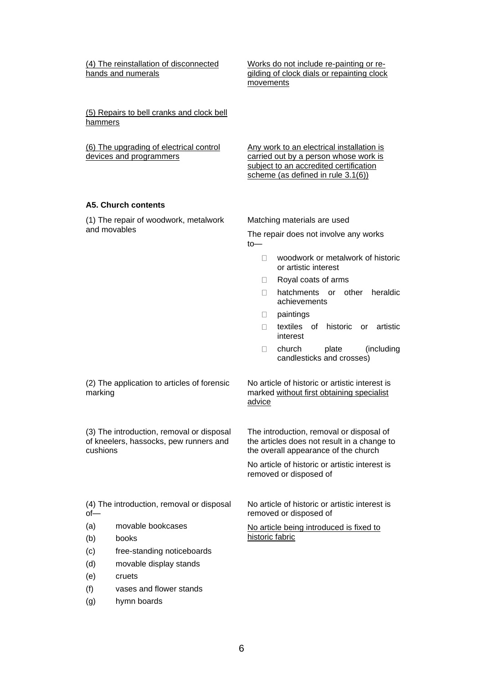(4) The reinstallation of disconnected hands and numerals

Works do not include re-painting or regilding of clock dials or repainting clock movements

(5) Repairs to bell cranks and clock bell hammers

| (6) The upgrading of electrical control | Any work to an electrical installation is |
|-----------------------------------------|-------------------------------------------|
| devices and programmers                 | carried out by a person whose work is     |
|                                         | subject to an accredited certification    |
|                                         | scheme (as defined in rule $3.1(6)$ )     |

#### **A5. Church contents**

(1) The repair of woodwork, metalwork and movables

Matching materials are used

The repair does not involve any works to—

- □ woodwork or metalwork of historic or artistic interest
- Royal coats of arms  $\Box$
- □ hatchments or other heraldic achievements
- $\Box$ paintings
- textiles of historic or artistic  $\Box$ interest
- church plate (including  $\Box$ candlesticks and crosses)

(2) The application to articles of forensic marking

No article of historic or artistic interest is marked without first obtaining specialist advice

(3) The introduction, removal or disposal of kneelers, hassocks, pew runners and cushions

The introduction, removal or disposal of the articles does not result in a change to the overall appearance of the church

No article of historic or artistic interest is removed or disposed of

(4) The introduction, removal or disposal of—

- (a) movable bookcases
- (b) books
- (c) free-standing noticeboards
- (d) movable display stands
- (e) cruets
- (f) vases and flower stands
- (g) hymn boards

No article of historic or artistic interest is removed or disposed of

No article being introduced is fixed to historic fabric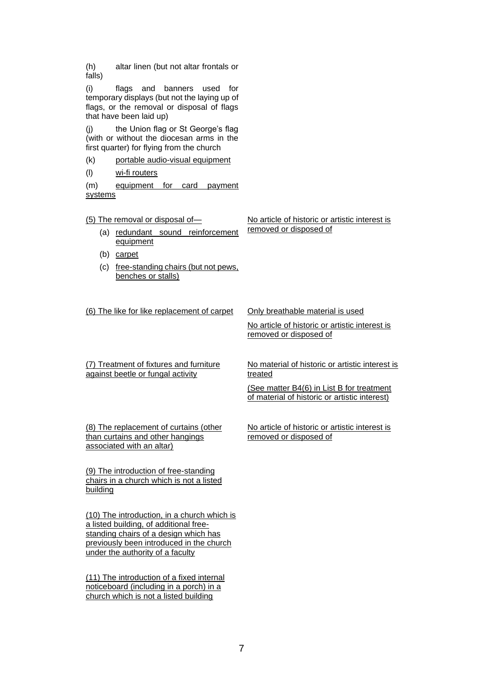(h) altar linen (but not altar frontals or falls)

(i) flags and banners used for temporary displays (but not the laying up of flags, or the removal or disposal of flags that have been laid up)

(j) the Union flag or St George's flag (with or without the diocesan arms in the first quarter) for flying from the church

(k) portable audio-visual equipment

(l) wi-fi routers

(m) equipment for card payment systems

(5) The removal or disposal of—

- (a) redundant sound reinforcement equipment
- (b) carpet
- (c) free-standing chairs (but not pews, benches or stalls)

(6) The like for like replacement of carpet Only breathable material is used

No article of historic or artistic interest is

removed or disposed of

No article of historic or artistic interest is removed or disposed of

(7) Treatment of fixtures and furniture against beetle or fungal activity

No material of historic or artistic interest is treated

(See matter B4(6) in List B for treatment of material of historic or artistic interest)

(8) The replacement of curtains (other than curtains and other hangings associated with an altar)

No article of historic or artistic interest is removed or disposed of

(9) The introduction of free-standing chairs in a church which is not a listed building

(10) The introduction, in a church which is a listed building, of additional freestanding chairs of a design which has previously been introduced in the church under the authority of a faculty

(11) The introduction of a fixed internal noticeboard (including in a porch) in a church which is not a listed building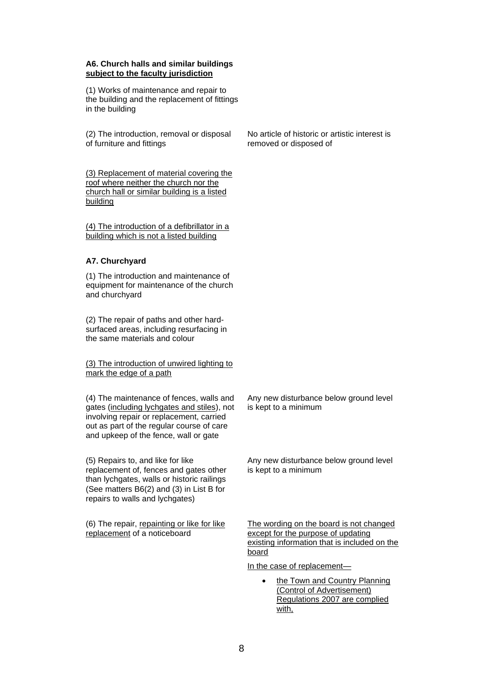#### **A6. Church halls and similar buildings subject to the faculty jurisdiction**

(1) Works of maintenance and repair to the building and the replacement of fittings in the building

(2) The introduction, removal or disposal of furniture and fittings

(3) Replacement of material covering the roof where neither the church nor the church hall or similar building is a listed building

(4) The introduction of a defibrillator in a building which is not a listed building

## **A7. Churchyard**

(1) The introduction and maintenance of equipment for maintenance of the church and churchyard

(2) The repair of paths and other hardsurfaced areas, including resurfacing in the same materials and colour

(3) The introduction of unwired lighting to mark the edge of a path

(4) The maintenance of fences, walls and gates (including lychgates and stiles), not involving repair or replacement, carried out as part of the regular course of care and upkeep of the fence, wall or gate

(5) Repairs to, and like for like replacement of, fences and gates other than lychgates, walls or historic railings (See matters B6(2) and (3) in List B for repairs to walls and lychgates)

(6) The repair, repainting or like for like replacement of a noticeboard

No article of historic or artistic interest is removed or disposed of

Any new disturbance below ground level is kept to a minimum

Any new disturbance below ground level is kept to a minimum

The wording on the board is not changed except for the purpose of updating existing information that is included on the board

In the case of replacement—

the Town and Country Planning (Control of Advertisement) Regulations 2007 are complied with,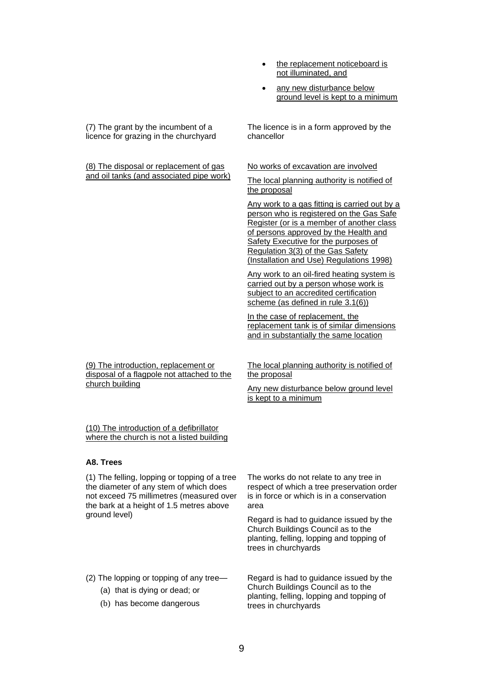- the replacement noticeboard is not illuminated, and
- any new disturbance below ground level is kept to a minimum

(7) The grant by the incumbent of a licence for grazing in the churchyard

(8) The disposal or replacement of gas and oil tanks (and associated pipe work) No works of excavation are involved

chancellor

The local planning authority is notified of the proposal

The licence is in a form approved by the

Any work to a gas fitting is carried out by a person who is registered on the Gas Safe Register (or is a member of another class of persons approved by the Health and Safety Executive for the purposes of Regulation 3(3) of the Gas Safety (Installation and Use) Regulations 1998)

Any work to an oil-fired heating system is carried out by a person whose work is subject to an accredited certification scheme (as defined in rule 3.1(6))

In the case of replacement, the replacement tank is of similar dimensions and in substantially the same location

(9) The introduction, replacement or disposal of a flagpole not attached to the church building

The local planning authority is notified of the proposal

Any new disturbance below ground level is kept to a minimum

(10) The introduction of a defibrillator where the church is not a listed building

#### **A8. Trees**

(1) The felling, lopping or topping of a tree the diameter of any stem of which does not exceed 75 millimetres (measured over the bark at a height of 1.5 metres above ground level)

The works do not relate to any tree in respect of which a tree preservation order is in force or which is in a conservation area

Regard is had to guidance issued by the Church Buildings Council as to the planting, felling, lopping and topping of trees in churchyards

(2) The lopping or topping of any tree—

- (a) that is dying or dead; or
- (b) has become dangerous

Regard is had to guidance issued by the Church Buildings Council as to the planting, felling, lopping and topping of trees in churchyards